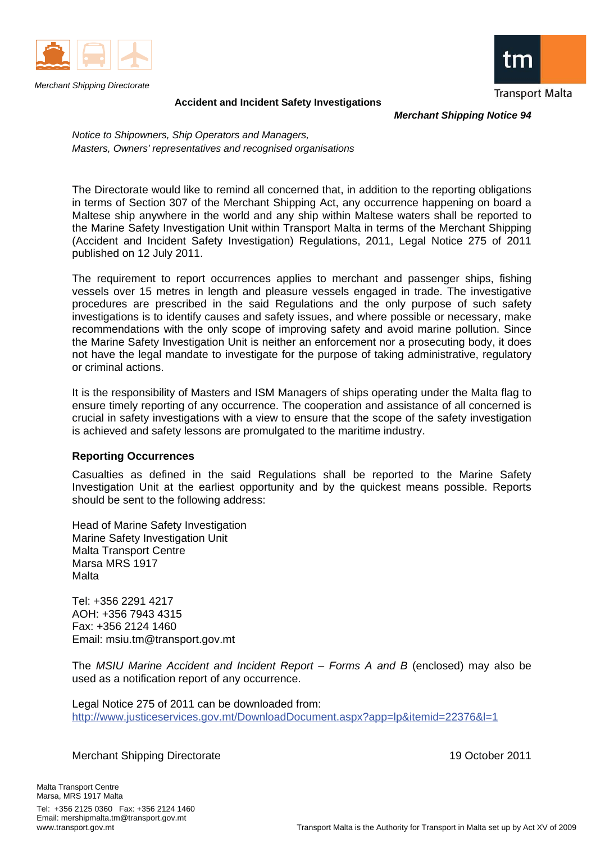

*Merchant Shipping Directorate* 



**Accident and Incident Safety Investigations**

*Merchant Shipping Notice 94* 

*Notice to Shipowners, Ship Operators and Managers, Masters, Owners' representatives and recognised organisations*

The Directorate would like to remind all concerned that, in addition to the reporting obligations in terms of Section 307 of the Merchant Shipping Act, any occurrence happening on board a Maltese ship anywhere in the world and any ship within Maltese waters shall be reported to the Marine Safety Investigation Unit within Transport Malta in terms of the Merchant Shipping (Accident and Incident Safety Investigation) Regulations, 2011, Legal Notice 275 of 2011 published on 12 July 2011.

The requirement to report occurrences applies to merchant and passenger ships, fishing vessels over 15 metres in length and pleasure vessels engaged in trade. The investigative procedures are prescribed in the said Regulations and the only purpose of such safety investigations is to identify causes and safety issues, and where possible or necessary, make recommendations with the only scope of improving safety and avoid marine pollution. Since the Marine Safety Investigation Unit is neither an enforcement nor a prosecuting body, it does not have the legal mandate to investigate for the purpose of taking administrative, regulatory or criminal actions.

It is the responsibility of Masters and ISM Managers of ships operating under the Malta flag to ensure timely reporting of any occurrence. The cooperation and assistance of all concerned is crucial in safety investigations with a view to ensure that the scope of the safety investigation is achieved and safety lessons are promulgated to the maritime industry.

#### **Reporting Occurrences**

Casualties as defined in the said Regulations shall be reported to the Marine Safety Investigation Unit at the earliest opportunity and by the quickest means possible. Reports should be sent to the following address:

Head of Marine Safety Investigation Marine Safety Investigation Unit Malta Transport Centre Marsa MRS 1917 Malta

Tel: +356 2291 4217 AOH: +356 7943 4315 Fax: +356 2124 1460 Email: msiu.tm@transport.gov.mt

The *MSIU Marine Accident and Incident Report – Forms A and B* (enclosed) may also be used as a notification report of any occurrence.

Legal Notice 275 of 2011 can be downloaded from: http://www.justiceservices.gov.mt/DownloadDocument.aspx?app=lp&itemid=22376&l=1

Merchant Shipping Directorate 19 October 2011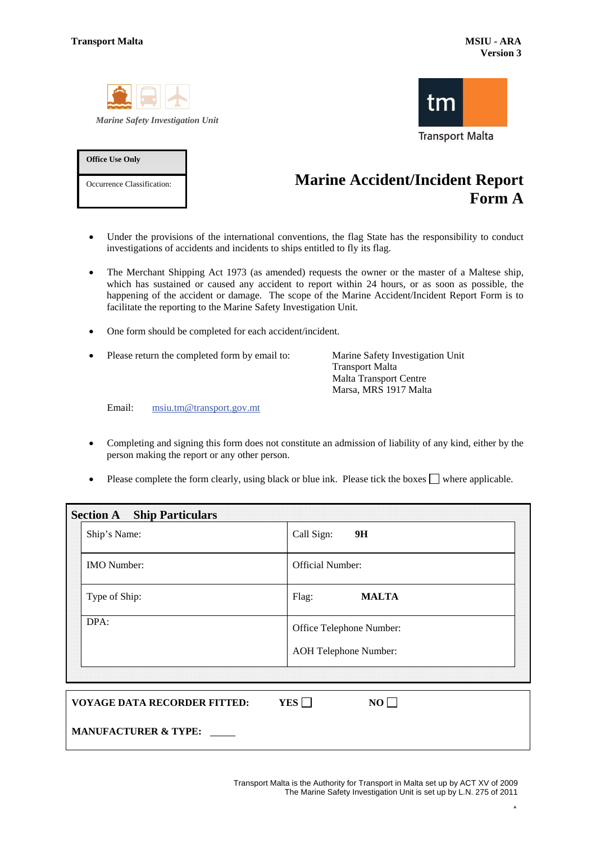**Office Use Only** 

Occurrence Classification:





## **Marine Accident/Incident Report Form A**

- Under the provisions of the international conventions, the flag State has the responsibility to conduct investigations of accidents and incidents to ships entitled to fly its flag.
- The Merchant Shipping Act 1973 (as amended) requests the owner or the master of a Maltese ship, which has sustained or caused any accident to report within 24 hours, or as soon as possible, the happening of the accident or damage. The scope of the Marine Accident/Incident Report Form is to facilitate the reporting to the Marine Safety Investigation Unit.
- One form should be completed for each accident/incident.
- Please return the completed form by email to: Marine Safety Investigation Unit

Transport Malta Malta Transport Centre Marsa, MRS 1917 Malta

Email: msiu.tm@transport.gov.mt

- Completing and signing this form does not constitute an admission of liability of any kind, either by the person making the report or any other person.
- Please complete the form clearly, using black or blue ink. Please tick the boxes  $\Box$  where applicable.

| <b>Section A</b> Ship Particulars   |                              |
|-------------------------------------|------------------------------|
| Ship's Name:                        | Call Sign:<br>9H             |
| <b>IMO</b> Number:                  | <b>Official Number:</b>      |
| Type of Ship:                       | <b>MALTA</b><br>Flag:        |
| DPA:                                | Office Telephone Number:     |
|                                     | <b>AOH Telephone Number:</b> |
|                                     |                              |
| <b>VOYAGE DATA RECORDER FITTED:</b> | YES $\Box$<br>NO             |
| <b>MANUFACTURER &amp; TYPE:</b>     |                              |

Transport Malta is the Authority for Transport in Malta set up by ACT XV of 2009 The Marine Safety Investigation Unit is set up by L.N. 275 of 2011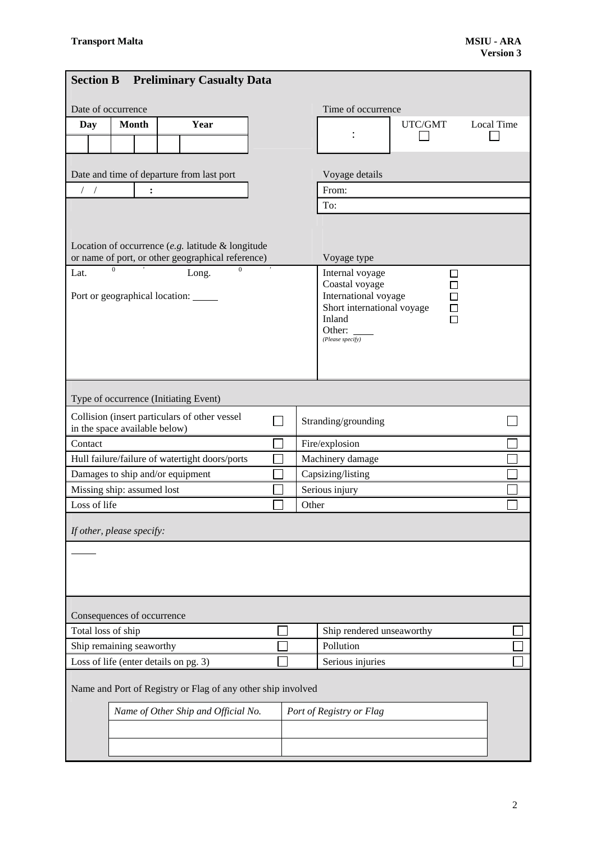| <b>Section B</b>   |                                       |                | <b>Preliminary Casualty Data</b>                             |                   |       |  |                                        |         |                   |  |
|--------------------|---------------------------------------|----------------|--------------------------------------------------------------|-------------------|-------|--|----------------------------------------|---------|-------------------|--|
|                    | Date of occurrence                    |                |                                                              |                   |       |  | Time of occurrence                     |         |                   |  |
| Day                | <b>Month</b>                          |                | Year                                                         |                   |       |  |                                        | UTC/GMT | <b>Local Time</b> |  |
|                    |                                       |                |                                                              |                   |       |  |                                        |         |                   |  |
|                    |                                       |                |                                                              |                   |       |  |                                        |         |                   |  |
|                    |                                       |                | Date and time of departure from last port                    |                   |       |  | Voyage details                         |         |                   |  |
| $/$ $/$            |                                       | $\ddot{\cdot}$ |                                                              |                   |       |  | From:                                  |         |                   |  |
|                    |                                       |                |                                                              |                   |       |  | To:                                    |         |                   |  |
|                    |                                       |                |                                                              |                   |       |  |                                        |         |                   |  |
|                    |                                       |                | Location of occurrence $(e.g.$ latitude $\&$ longitude       |                   |       |  |                                        |         |                   |  |
|                    |                                       |                | or name of port, or other geographical reference)            |                   |       |  | Voyage type                            |         |                   |  |
| Lat.               | $\theta$                              |                | $\Omega$<br>Long.                                            |                   |       |  | Internal voyage                        | П       |                   |  |
|                    |                                       |                | Port or geographical location:                               |                   |       |  | Coastal voyage<br>International voyage |         |                   |  |
|                    |                                       |                |                                                              |                   |       |  | Short international voyage             |         |                   |  |
|                    |                                       |                |                                                              |                   |       |  | Inland<br>Other:                       |         |                   |  |
|                    |                                       |                |                                                              |                   |       |  | (Please specify)                       |         |                   |  |
|                    |                                       |                |                                                              |                   |       |  |                                        |         |                   |  |
|                    |                                       |                |                                                              |                   |       |  |                                        |         |                   |  |
|                    |                                       |                |                                                              |                   |       |  |                                        |         |                   |  |
|                    |                                       |                | Type of occurrence (Initiating Event)                        |                   |       |  |                                        |         |                   |  |
|                    | in the space available below)         |                | Collision (insert particulars of other vessel                |                   |       |  | Stranding/grounding                    |         |                   |  |
| Contact            |                                       |                |                                                              |                   |       |  | Fire/explosion                         |         |                   |  |
|                    |                                       |                | Hull failure/failure of watertight doors/ports               | Machinery damage  |       |  |                                        |         |                   |  |
|                    | Damages to ship and/or equipment      |                |                                                              | Capsizing/listing |       |  |                                        |         |                   |  |
|                    | Missing ship: assumed lost            |                |                                                              |                   |       |  | Serious injury                         |         |                   |  |
| Loss of life       |                                       |                |                                                              |                   | Other |  |                                        |         |                   |  |
|                    |                                       |                |                                                              |                   |       |  |                                        |         |                   |  |
|                    | If other, please specify:             |                |                                                              |                   |       |  |                                        |         |                   |  |
|                    |                                       |                |                                                              |                   |       |  |                                        |         |                   |  |
|                    |                                       |                |                                                              |                   |       |  |                                        |         |                   |  |
|                    |                                       |                |                                                              |                   |       |  |                                        |         |                   |  |
|                    |                                       |                |                                                              |                   |       |  |                                        |         |                   |  |
|                    | Consequences of occurrence            |                |                                                              |                   |       |  |                                        |         |                   |  |
| Total loss of ship |                                       |                |                                                              |                   |       |  | Ship rendered unseaworthy              |         |                   |  |
|                    | Ship remaining seaworthy              |                |                                                              |                   |       |  | Pollution                              |         |                   |  |
|                    | Loss of life (enter details on pg. 3) |                |                                                              |                   |       |  | Serious injuries                       |         |                   |  |
|                    |                                       |                | Name and Port of Registry or Flag of any other ship involved |                   |       |  |                                        |         |                   |  |
|                    |                                       |                | Name of Other Ship and Official No.                          |                   |       |  | Port of Registry or Flag               |         |                   |  |
|                    |                                       |                |                                                              |                   |       |  |                                        |         |                   |  |
|                    |                                       |                |                                                              |                   |       |  |                                        |         |                   |  |
|                    |                                       |                |                                                              |                   |       |  |                                        |         |                   |  |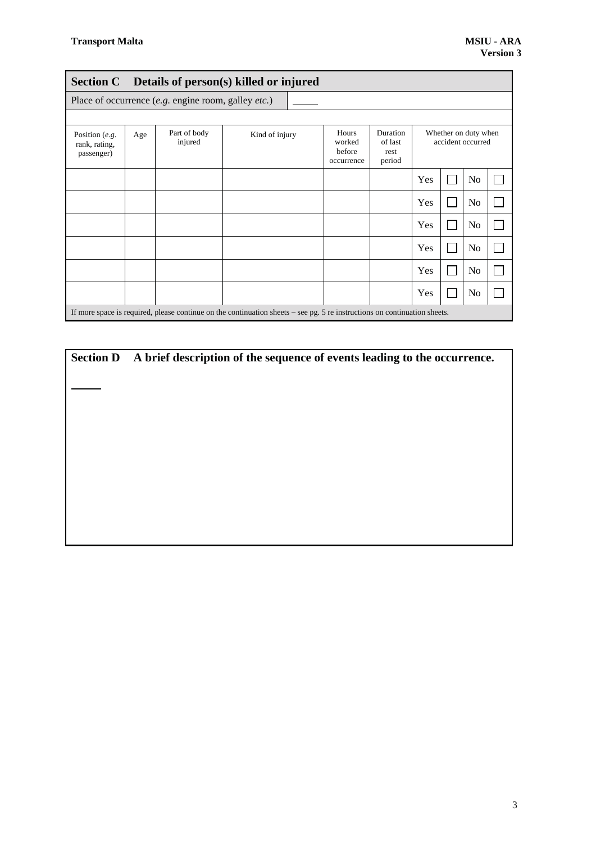|                                                 |     |                                                     | Section C Details of person(s) killed or injured                                                                          |                                         |                                       |     |                                           |  |
|-------------------------------------------------|-----|-----------------------------------------------------|---------------------------------------------------------------------------------------------------------------------------|-----------------------------------------|---------------------------------------|-----|-------------------------------------------|--|
|                                                 |     | Place of occurrence (e.g. engine room, galley etc.) |                                                                                                                           |                                         |                                       |     |                                           |  |
|                                                 |     |                                                     |                                                                                                                           |                                         |                                       |     |                                           |  |
| Position $(e.g.$<br>rank, rating,<br>passenger) | Age | Part of body<br>injured                             | Kind of injury                                                                                                            | Hours<br>worked<br>before<br>occurrence | Duration<br>of last<br>rest<br>period |     | Whether on duty when<br>accident occurred |  |
|                                                 |     |                                                     |                                                                                                                           |                                         |                                       | Yes | N <sub>0</sub>                            |  |
|                                                 |     |                                                     |                                                                                                                           |                                         |                                       | Yes | N <sub>0</sub>                            |  |
|                                                 |     |                                                     |                                                                                                                           |                                         |                                       | Yes | No                                        |  |
|                                                 |     |                                                     |                                                                                                                           |                                         |                                       | Yes | N <sub>o</sub>                            |  |
|                                                 |     |                                                     |                                                                                                                           |                                         |                                       | Yes | N <sub>0</sub>                            |  |
|                                                 |     |                                                     |                                                                                                                           |                                         |                                       | Yes | N <sub>o</sub>                            |  |
|                                                 |     |                                                     | If more space is required, please continue on the continuation sheets - see pg. 5 re instructions on continuation sheets. |                                         |                                       |     |                                           |  |

**Section D A brief description of the sequence of events leading to the occurrence.**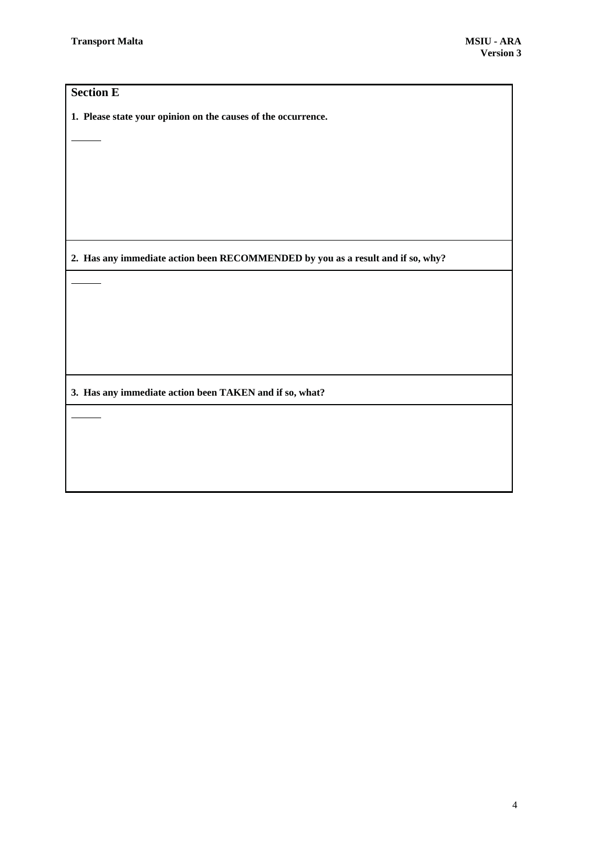### **Section E**

**1. Please state your opinion on the causes of the occurrence.**

**2. Has any immediate action been RECOMMENDED by you as a result and if so, why?**

**3. Has any immediate action been TAKEN and if so, what?**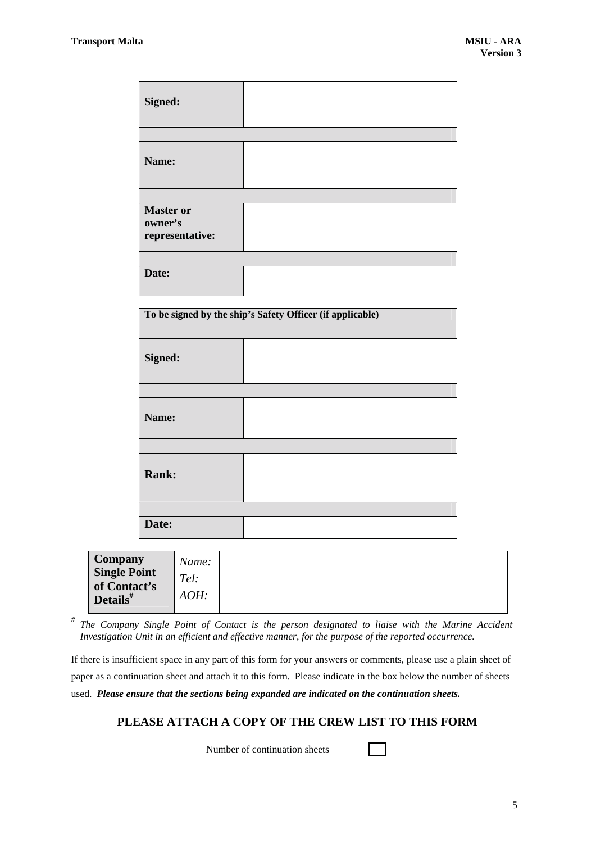| Signed:                                        |  |
|------------------------------------------------|--|
|                                                |  |
| Name:                                          |  |
|                                                |  |
| <b>Master or</b><br>owner's<br>representative: |  |
|                                                |  |
| Date:                                          |  |

| To be signed by the ship's Safety Officer (if applicable) |  |  |  |  |
|-----------------------------------------------------------|--|--|--|--|
| Signed:                                                   |  |  |  |  |
|                                                           |  |  |  |  |
| Name:                                                     |  |  |  |  |
|                                                           |  |  |  |  |
| <b>Rank:</b>                                              |  |  |  |  |
|                                                           |  |  |  |  |
| Date:                                                     |  |  |  |  |

|--|

*# The Company Single Point of Contact is the person designated to liaise with the Marine Accident Investigation Unit in an efficient and effective manner, for the purpose of the reported occurrence.*

If there is insufficient space in any part of this form for your answers or comments, please use a plain sheet of paper as a continuation sheet and attach it to this form. Please indicate in the box below the number of sheets used. *Please ensure that the sections being expanded are indicated on the continuation sheets.*

### **PLEASE ATTACH A COPY OF THE CREW LIST TO THIS FORM**

Number of continuation sheets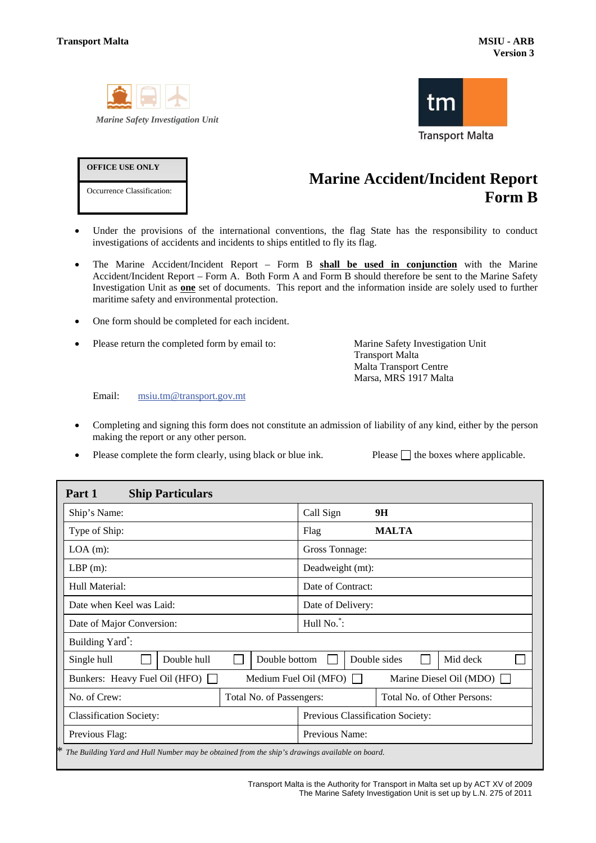

**OFFICE USE ONLY** 

Occurrence Classification:



# **Marine Accident/Incident Report Form B**

- Under the provisions of the international conventions, the flag State has the responsibility to conduct investigations of accidents and incidents to ships entitled to fly its flag.
- x The Marine Accident/Incident Report Form B **shall be used in conjunction** with the Marine Accident/Incident Report – Form A. Both Form A and Form B should therefore be sent to the Marine Safety Investigation Unit as **one** set of documents. This report and the information inside are solely used to further maritime safety and environmental protection.
- One form should be completed for each incident.
- Please return the completed form by email to: Marine Safety Investigation Unit

Transport Malta Malta Transport Centre Marsa, MRS 1917 Malta

Email: msiu.tm@transport.gov.mt

- Completing and signing this form does not constitute an admission of liability of any kind, either by the person making the report or any other person.
- $\bullet$  Please complete the form clearly, using black or blue ink.  $\bullet$  P

|  | Please $\Box$ the boxes where applicable. |  |  |
|--|-------------------------------------------|--|--|
|--|-------------------------------------------|--|--|

| Part 1<br><b>Ship Particulars</b>                                                              |                          |               |                                                                |  |                             |  |  |  |
|------------------------------------------------------------------------------------------------|--------------------------|---------------|----------------------------------------------------------------|--|-----------------------------|--|--|--|
| Ship's Name:                                                                                   |                          |               | Call Sign                                                      |  | 9H                          |  |  |  |
| Type of Ship:                                                                                  | Flag<br><b>MALTA</b>     |               |                                                                |  |                             |  |  |  |
| $LOA(m)$ :                                                                                     | Gross Tonnage:           |               |                                                                |  |                             |  |  |  |
| $LBP(m)$ :                                                                                     | Deadweight (mt):         |               |                                                                |  |                             |  |  |  |
| Hull Material:                                                                                 | Date of Contract:        |               |                                                                |  |                             |  |  |  |
| Date when Keel was Laid:                                                                       | Date of Delivery:        |               |                                                                |  |                             |  |  |  |
| Date of Major Conversion:                                                                      | Hull No.*:               |               |                                                                |  |                             |  |  |  |
| Building Yard <sup>*</sup> :                                                                   |                          |               |                                                                |  |                             |  |  |  |
| Double hull<br>Single hull                                                                     |                          | Double bottom | Double sides<br>Mid deck                                       |  |                             |  |  |  |
| Bunkers: Heavy Fuel Oil (HFO)                                                                  |                          |               | Marine Diesel Oil (MDO) $\Box$<br>Medium Fuel Oil (MFO) $\Box$ |  |                             |  |  |  |
| No. of Crew:                                                                                   | Total No. of Passengers: |               |                                                                |  | Total No. of Other Persons: |  |  |  |
| <b>Classification Society:</b>                                                                 |                          |               | Previous Classification Society:                               |  |                             |  |  |  |
| Previous Flag:                                                                                 |                          |               | Previous Name:                                                 |  |                             |  |  |  |
| The Building Yard and Hull Number may be obtained from the ship's drawings available on board. |                          |               |                                                                |  |                             |  |  |  |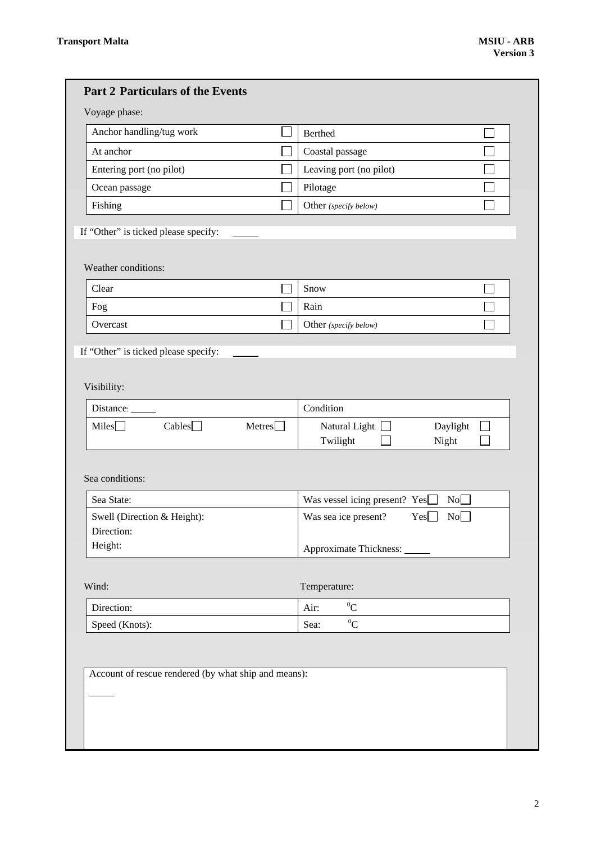| <b>Part 2 Particulars of the Events</b>                     |                                                       |
|-------------------------------------------------------------|-------------------------------------------------------|
| Voyage phase:                                               |                                                       |
| Anchor handling/tug work                                    | Berthed                                               |
| At anchor                                                   | Coastal passage                                       |
| Entering port (no pilot)                                    | Leaving port (no pilot)                               |
| Ocean passage                                               | Pilotage                                              |
| Fishing                                                     | Other (specify below)                                 |
| If "Other" is ticked please specify:<br>Weather conditions: |                                                       |
| Clear                                                       | Snow                                                  |
| Fog                                                         | Rain                                                  |
| Overcast                                                    | Other (specify below)                                 |
| Visibility:                                                 |                                                       |
| Distance:                                                   | Condition                                             |
| Cables<br>Meters<br>Miles $\Box$                            | Natural Light $\Box$<br>Daylight<br>Twilight<br>Night |
| Sea conditions:                                             |                                                       |
| Sea State:                                                  | Was vessel icing present? Yes[<br>No                  |
| Swell (Direction & Height):                                 | No<br>Was sea ice present?<br>Yes                     |
| Direction:<br>Height:                                       |                                                       |
|                                                             | Approximate Thickness: ______                         |
| Wind:                                                       | Temperature:                                          |
| Direction:                                                  | ${}^{0}C$<br>Air:                                     |
| Speed (Knots):                                              | ${}^{0}C$<br>Sea:                                     |
| Account of rescue rendered (by what ship and means):        |                                                       |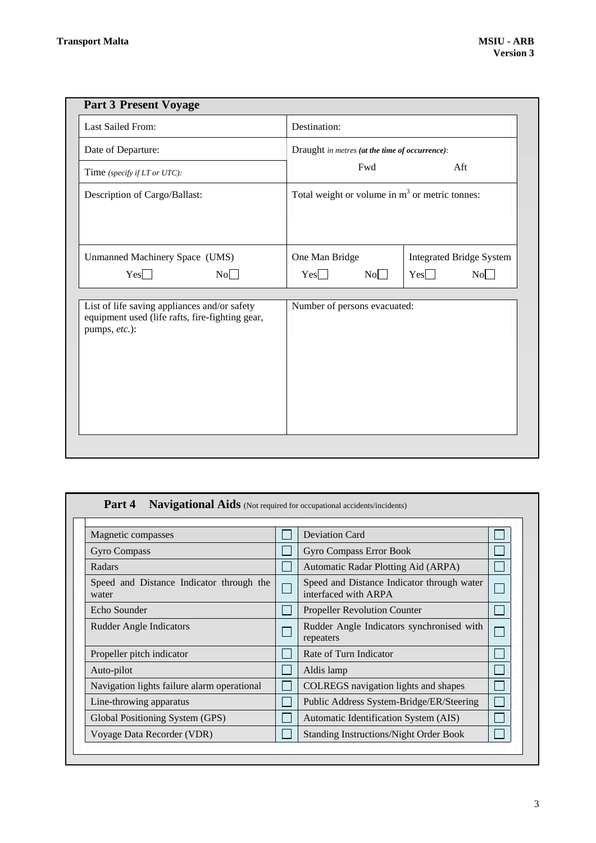| <b>Part 3 Present Voyage</b>                                                                                     |                                                  |                                 |  |  |  |  |
|------------------------------------------------------------------------------------------------------------------|--------------------------------------------------|---------------------------------|--|--|--|--|
| Last Sailed From:                                                                                                | Destination:                                     |                                 |  |  |  |  |
| Date of Departure:                                                                                               | Draught in metres (at the time of occurrence):   |                                 |  |  |  |  |
| Time (specify if LT or UTC):                                                                                     | Fwd<br>Aft                                       |                                 |  |  |  |  |
| Description of Cargo/Ballast:                                                                                    | Total weight or volume in $m3$ or metric tonnes: |                                 |  |  |  |  |
|                                                                                                                  |                                                  |                                 |  |  |  |  |
| Unmanned Machinery Space (UMS)                                                                                   | One Man Bridge                                   | <b>Integrated Bridge System</b> |  |  |  |  |
| Yes<br>No                                                                                                        | No<br>Yes                                        | Yes<br>No                       |  |  |  |  |
| List of life saving appliances and/or safety<br>equipment used (life rafts, fire-fighting gear,<br>pumps, etc.): | Number of persons evacuated:                     |                                 |  |  |  |  |

| Magnetic compasses                                |  | <b>Deviation Card</b>                                              |  |
|---------------------------------------------------|--|--------------------------------------------------------------------|--|
| Gyro Compass                                      |  | <b>Gyro Compass Error Book</b>                                     |  |
| Radars                                            |  | Automatic Radar Plotting Aid (ARPA)                                |  |
| Speed and Distance Indicator through the<br>water |  | Speed and Distance Indicator through water<br>interfaced with ARPA |  |
| Echo Sounder                                      |  | <b>Propeller Revolution Counter</b>                                |  |
| <b>Rudder Angle Indicators</b>                    |  | Rudder Angle Indicators synchronised with<br>repeaters             |  |
| Propeller pitch indicator                         |  | Rate of Turn Indicator                                             |  |
| Auto-pilot                                        |  | Aldis lamp                                                         |  |
| Navigation lights failure alarm operational       |  | COLREGS navigation lights and shapes                               |  |
| Line-throwing apparatus                           |  | Public Address System-Bridge/ER/Steering                           |  |
| Global Positioning System (GPS)                   |  | Automatic Identification System (AIS)                              |  |
| Voyage Data Recorder (VDR)                        |  | <b>Standing Instructions/Night Order Book</b>                      |  |